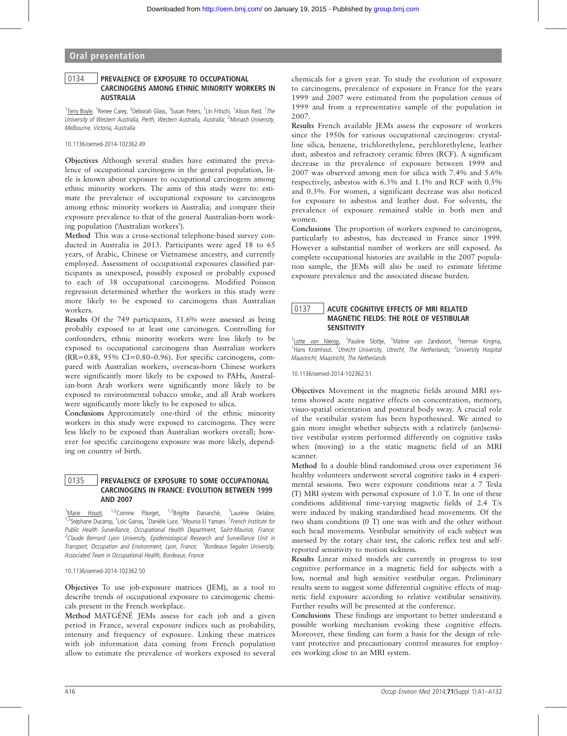## Oral presentation

## 0134 | PREVALENCE OF EXPOSURE TO OCCUPATIONAL CARCINOGENS AMONG ETHNIC MINORITY WORKERS IN AUSTRALIA

<sup>1</sup>Terry Boyle, <sup>1</sup>Renee Carey, <sup>2</sup>Deborah Glass, <sup>1</sup>Susan Peters, <sup>1</sup>Lin Fritschi, <sup>1</sup>Alison Reid. <sup>1</sup>The University of Western Australia, Perth, Western Australia, Australia; <sup>2</sup>Monash University, Melbourne, Victoria, Australia

10.1136/oemed-2014-102362.49

Objectives Although several studies have estimated the prevalence of occupational carcinogens in the general population, little is known about exposure to occupational carcinogens among ethnic minority workers. The aims of this study were to: estimate the prevalence of occupational exposure to carcinogens among ethnic minority workers in Australia; and compare their exposure prevalence to that of the general Australian-born working population ('Australian workers').

Method This was a cross-sectional telephone-based survey conducted in Australia in 2013. Participants were aged 18 to 65 years, of Arabic, Chinese or Vietnamese ancestry, and currently employed. Assessment of occupational exposures classified participants as unexposed, possibly exposed or probably exposed to each of 38 occupational carcinogens. Modified Poisson regression determined whether the workers in this study were more likely to be exposed to carcinogens than Australian workers.

Results Of the 749 participants, 31.6% were assessed as being probably exposed to at least one carcinogen. Controlling for confounders, ethnic minority workers were less likely to be exposed to occupational carcinogens than Australian workers  $(RR=0.88, 95\% \text{ CI} = 0.80-0.96)$ . For specific carcinogens, compared with Australian workers, overseas-born Chinese workers were significantly more likely to be exposed to PAHs, Australian-born Arab workers were significantly more likely to be exposed to environmental tobacco smoke, and all Arab workers were significantly more likely to be exposed to silica.

Conclusions Approximately one-third of the ethnic minority workers in this study were exposed to carcinogens. They were less likely to be exposed than Australian workers overall; however for specific carcinogens exposure was more likely, depending on country of birth.

## 0135 | PREVALENCE OF EXPOSURE TO SOME OCCUPATIONAL CARCINOGENS IN FRANCE: EVOLUTION BETWEEN 1999 AND 2007

<sup>1</sup>Marie Houot, <sup>1,2</sup>Corinne Pilorget, <sup>1,2</sup>Brigitte Dananché, <sup>1</sup>Laurène Delabre, <sup>1,3</sup>Stéphane Ducamp, <sup>1</sup>Loïc Garras, <sup>1</sup>Danièle Luce, <sup>1</sup>Mounia El Yamani. <sup>1</sup>French Institute for Public Health Surveillance, Occupational Health Department, Saint-Maurice, France; <sup>2</sup>Claude Bernard Lyon University, Epidemiological Research and Surveillance Unit in Transport, Occupation and Environment, Lyon, France; <sup>3</sup>Bordeaux Segalen University, Associated Team in Occupational Health, Bordeaux, France

#### 10.1136/oemed-2014-102362.50

Objectives To use job-exposure matrices (JEM), as a tool to describe trends of occupational exposure to carcinogenic chemicals present in the French workplace.

Method MATGÉNÉ JEMs assess for each job and a given period in France, several exposure indices such as probability, intensity and frequency of exposure. Linking these matrices with job information data coming from French population allow to estimate the prevalence of workers exposed to several

chemicals for a given year. To study the evolution of exposure to carcinogens, prevalence of exposure in France for the years 1999 and 2007 were estimated from the population census of 1999 and from a representative sample of the population in 2007.

Results French available JEMs assess the exposure of workers since the 1950s for various occupational carcinogens: crystalline silica, benzene, trichlorethylene, perchlorethylene, leather dust, asbestos and refractory ceramic fibres (RCF). A significant decrease in the prevalence of exposure between 1999 and 2007 was observed among men for silica with 7.4% and 5.6% respectively, asbestos with 6.3% and 1.1% and RCF with 0.5% and 0.3%. For women, a significant decrease was also noticed for exposure to asbestos and leather dust. For solvents, the prevalence of exposure remained stable in both men and women.

Conclusions The proportion of workers exposed to carcinogens, particularly to asbestos, has decreased in France since 1999. However a substantial number of workers are still exposed. As complete occupational histories are available in the 2007 population sample, the JEMs will also be used to estimate lifetime exposure prevalence and the associated disease burden.

## 0137 | ACUTE COGNITIVE EFFECTS OF MRI RELATED MAGNETIC FIELDS: THE ROLE OF VESTIBULAR SENSITIVITY

<sup>1</sup>Lotte van Nierop, <sup>1</sup>Pauline Slottje, <sup>1</sup>Matine van Zandvoort, <sup>2</sup>Herman Kingma, <sup>1</sup>Hans Kromhout. <sup>1</sup>Utrecht University, Utrecht, The Netherlands; <sup>2</sup>University Hospital Maastricht, Maastricht, The Netherlands

10.1136/oemed-2014-102362.51

Objectives Movement in the magnetic fields around MRI systems showed acute negative effects on concentration, memory, visuo-spatial orientation and postural body sway. A crucial role of the vestibular system has been hypothesised. We aimed to gain more insight whether subjects with a relatively (un)sensitive vestibular system performed differently on cognitive tasks when (moving) in a the static magnetic field of an MRI scanner.

Method In a double blind randomised cross over experiment 36 healthy volunteers underwent several cognitive tasks in 4 experimental sessions. Two were exposure conditions near a 7 Tesla (T) MRI system with personal exposure of 1.0 T. In one of these conditions additional time-varying magnetic fields of 2.4 T/s were induced by making standardised head movements. Of the two sham conditions (0 T) one was with and the other without such head movements. Vestibular sensitivity of each subject was assessed by the rotary chair test, the caloric reflex test and selfreported sensitivity to motion sickness.

Results Linear mixed models are currently in progress to test cognitive performance in a magnetic field for subjects with a low, normal and high sensitive vestibular organ. Preliminary results seem to suggest some differential cognitive effects of magnetic field exposure according to relative vestibular sensitivity. Further results will be presented at the conference.

Conclusions These findings are important to better understand a possible working mechanism evoking these cognitive effects. Moreover, these finding can form a basis for the design of relevant protective and precautionary control measures for employees working close to an MRI system.